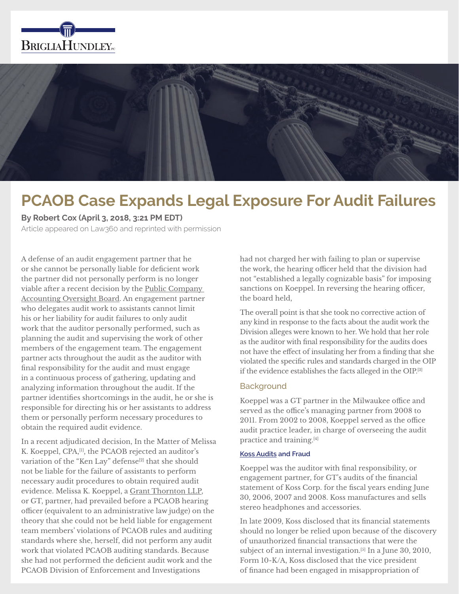



# **PCAOB Case Expands Legal Exposure For Audit Failures**

**By Robert Cox (April 3, 2018, 3:21 PM EDT)**

Article appeared on Law360 and reprinted with permission

A defense of an audit engagement partner that he or she cannot be personally liable for deficient work the partner did not personally perform is no longer viable after a recent decision by the Public Company Accounting Oversight Board. An engagement partner who delegates audit work to assistants cannot limit his or her liability for audit failures to only audit work that the auditor personally performed, such as planning the audit and supervising the work of other members of the engagement team. The engagement partner acts throughout the audit as the auditor with final responsibility for the audit and must engage in a continuous process of gathering, updating and analyzing information throughout the audit. If the partner identifies shortcomings in the audit, he or she is responsible for directing his or her assistants to address them or personally perform necessary procedures to obtain the required audit evidence.

In a recent adjudicated decision, In the Matter of Melissa K. Koeppel, CPA,[1], the PCAOB rejected an auditor's variation of the "Ken Lay" defense<sup>[2]</sup> that she should not be liable for the failure of assistants to perform necessary audit procedures to obtain required audit evidence. Melissa K. Koeppel, a Grant Thornton LLP, or GT, partner, had prevailed before a PCAOB hearing officer (equivalent to an administrative law judge) on the theory that she could not be held liable for engagement team members' violations of PCAOB rules and auditing standards where she, herself, did not perform any audit work that violated PCAOB auditing standards. Because she had not performed the deficient audit work and the PCAOB Division of Enforcement and Investigations

had not charged her with failing to plan or supervise the work, the hearing officer held that the division had not "established a legally cognizable basis" for imposing sanctions on Koeppel. In reversing the hearing officer, the board held,

The overall point is that she took no corrective action of any kind in response to the facts about the audit work the Division alleges were known to her. We hold that her role as the auditor with final responsibility for the audits does not have the effect of insulating her from a finding that she violated the specific rules and standards charged in the OIP if the evidence establishes the facts alleged in the OIP.[3]

#### **Background**

Koeppel was a GT partner in the Milwaukee office and served as the office's managing partner from 2008 to 2011. From 2002 to 2008, Koeppel served as the office audit practice leader, in charge of overseeing the audit practice and training.[4]

#### **Koss Audits and Fraud**

Koeppel was the auditor with final responsibility, or engagement partner, for GT's audits of the financial statement of Koss Corp. for the fiscal years ending June 30, 2006, 2007 and 2008. Koss manufactures and sells stereo headphones and accessories.

In late 2009, Koss disclosed that its financial statements should no longer be relied upon because of the discovery of unauthorized financial transactions that were the subject of an internal investigation.<sup>[5]</sup> In a June  $30, 2010$ , Form 10-K/A, Koss disclosed that the vice president of finance had been engaged in misappropriation of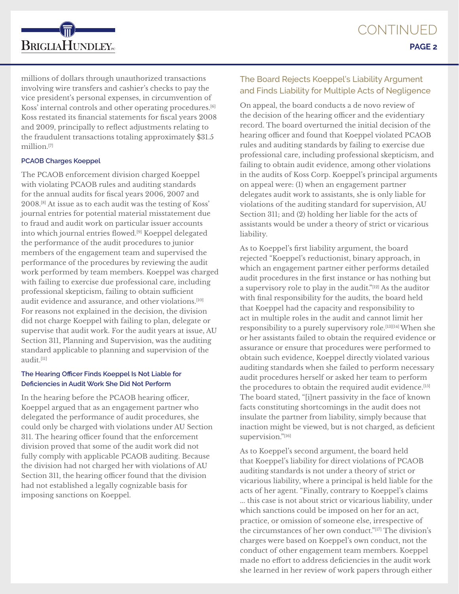

millions of dollars through unauthorized transactions involving wire transfers and cashier's checks to pay the vice president's personal expenses, in circumvention of Koss' internal controls and other operating procedures.[6] Koss restated its financial statements for fiscal years 2008 and 2009, principally to reflect adjustments relating to the fraudulent transactions totaling approximately \$31.5 million.[7]

#### **PCAOB Charges Koeppel**

The PCAOB enforcement division charged Koeppel with violating PCAOB rules and auditing standards for the annual audits for fiscal years 2006, 2007 and 2008.[8] At issue as to each audit was the testing of Koss' journal entries for potential material misstatement due to fraud and audit work on particular issuer accounts into which journal entries flowed.[9] Koeppel delegated the performance of the audit procedures to junior members of the engagement team and supervised the performance of the procedures by reviewing the audit work performed by team members. Koeppel was charged with failing to exercise due professional care, including professional skepticism, failing to obtain sufficient audit evidence and assurance, and other violations.[10] For reasons not explained in the decision, the division did not charge Koeppel with failing to plan, delegate or supervise that audit work. For the audit years at issue, AU Section 311, Planning and Supervision, was the auditing standard applicable to planning and supervision of the audit.[11]

#### **The Hearing Officer Finds Koeppel Is Not Liable for Deficiencies in Audit Work She Did Not Perform**

In the hearing before the PCAOB hearing officer, Koeppel argued that as an engagement partner who delegated the performance of audit procedures, she could only be charged with violations under AU Section 311. The hearing officer found that the enforcement division proved that some of the audit work did not fully comply with applicable PCAOB auditing. Because the division had not charged her with violations of AU Section 311, the hearing officer found that the division had not established a legally cognizable basis for imposing sanctions on Koeppel.

## The Board Rejects Koeppel's Liability Argument and Finds Liability for Multiple Acts of Negligence

On appeal, the board conducts a de novo review of the decision of the hearing officer and the evidentiary record. The board overturned the initial decision of the hearing officer and found that Koeppel violated PCAOB rules and auditing standards by failing to exercise due professional care, including professional skepticism, and failing to obtain audit evidence, among other violations in the audits of Koss Corp. Koeppel's principal arguments on appeal were: (1) when an engagement partner delegates audit work to assistants, she is only liable for violations of the auditing standard for supervision, AU Section 311; and (2) holding her liable for the acts of assistants would be under a theory of strict or vicarious liability.

As to Koeppel's first liability argument, the board rejected "Koeppel's reductionist, binary approach, in which an engagement partner either performs detailed audit procedures in the first instance or has nothing but a supervisory role to play in the audit."[12] As the auditor with final responsibility for the audits, the board held that Koeppel had the capacity and responsibility to act in multiple roles in the audit and cannot limit her responsibility to a purely supervisory role.[13][14] When she or her assistants failed to obtain the required evidence or assurance or ensure that procedures were performed to obtain such evidence, Koeppel directly violated various auditing standards when she failed to perform necessary audit procedures herself or asked her team to perform the procedures to obtain the required audit evidence.<sup>[15]</sup> The board stated, "[i]nert passivity in the face of known facts constituting shortcomings in the audit does not insulate the partner from liability, simply because that inaction might be viewed, but is not charged, as deficient supervision."[16]

As to Koeppel's second argument, the board held that Koeppel's liability for direct violations of PCAOB auditing standards is not under a theory of strict or vicarious liability, where a principal is held liable for the acts of her agent. "Finally, contrary to Koeppel's claims ... this case is not about strict or vicarious liability, under which sanctions could be imposed on her for an act, practice, or omission of someone else, irrespective of the circumstances of her own conduct."[17] The division's charges were based on Koeppel's own conduct, not the conduct of other engagement team members. Koeppel made no effort to address deficiencies in the audit work she learned in her review of work papers through either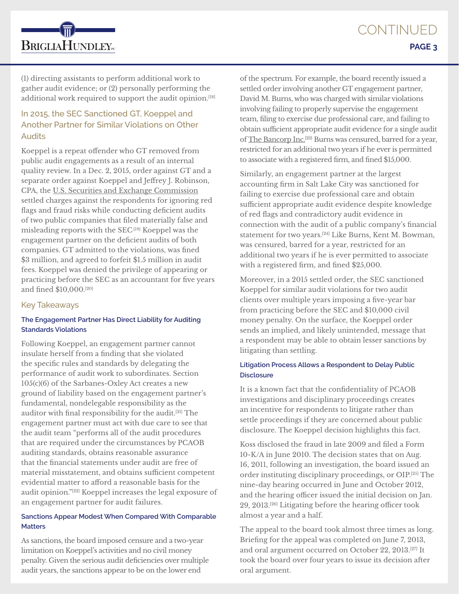

(1) directing assistants to perform additional work to gather audit evidence; or (2) personally performing the additional work required to support the audit opinion.<sup>[18]</sup>

# In 2015, the SEC Sanctioned GT, Koeppel and Another Partner for Similar Violations on Other Audits

Koeppel is a repeat offender who GT removed from public audit engagements as a result of an internal quality review. In a Dec. 2, 2015, order against GT and a separate order against Koeppel and Jeffrey J. Robinson, CPA, the U.S. Securities and Exchange Commission settled charges against the respondents for ignoring red flags and fraud risks while conducting deficient audits of two public companies that filed materially false and misleading reports with the SEC.[19] Koeppel was the engagement partner on the deficient audits of both companies. GT admitted to the violations, was fined \$3 million, and agreed to forfeit \$1.5 million in audit fees. Koeppel was denied the privilege of appearing or practicing before the SEC as an accountant for five years and fined \$10,000.[20]

#### Key Takeaways

#### **The Engagement Partner Has Direct Liability for Auditing Standards Violations**

Following Koeppel, an engagement partner cannot insulate herself from a finding that she violated the specific rules and standards by delegating the performance of audit work to subordinates. Section 105(c)(6) of the Sarbanes-Oxley Act creates a new ground of liability based on the engagement partner's fundamental, nondelegable responsibility as the auditor with final responsibility for the audit.[21] The engagement partner must act with due care to see that the audit team "performs all of the audit procedures that are required under the circumstances by PCAOB auditing standards, obtains reasonable assurance that the financial statements under audit are free of material misstatement, and obtains sufficient competent evidential matter to afford a reasonable basis for the audit opinion."[22] Koeppel increases the legal exposure of an engagement partner for audit failures.

#### **Sanctions Appear Modest When Compared With Comparable Matters**

As sanctions, the board imposed censure and a two-year limitation on Koeppel's activities and no civil money penalty. Given the serious audit deficiencies over multiple audit years, the sanctions appear to be on the lower end

of the spectrum. For example, the board recently issued a settled order involving another GT engagement partner, David M. Burns, who was charged with similar violations involving failing to properly supervise the engagement team, filing to exercise due professional care, and failing to obtain sufficient appropriate audit evidence for a single audit of The Bancorp Inc.[23] Burns was censured, barred for a year, restricted for an additional two years if he ever is permitted to associate with a registered firm, and fined \$15,000.

Similarly, an engagement partner at the largest accounting firm in Salt Lake City was sanctioned for failing to exercise due professional care and obtain sufficient appropriate audit evidence despite knowledge of red flags and contradictory audit evidence in connection with the audit of a public company's financial statement for two years.[24] Like Burns, Kent M. Bowman, was censured, barred for a year, restricted for an additional two years if he is ever permitted to associate with a registered firm, and fined \$25,000.

Moreover, in a 2015 settled order, the SEC sanctioned Koeppel for similar audit violations for two audit clients over multiple years imposing a five-year bar from practicing before the SEC and \$10,000 civil money penalty. On the surface, the Koeppel order sends an implied, and likely unintended, message that a respondent may be able to obtain lesser sanctions by litigating than settling.

### **Litigation Process Allows a Respondent to Delay Public Disclosure**

It is a known fact that the confidentiality of PCAOB investigations and disciplinary proceedings creates an incentive for respondents to litigate rather than settle proceedings if they are concerned about public disclosure. The Koeppel decision highlights this fact.

Koss disclosed the fraud in late 2009 and filed a Form 10-K/A in June 2010. The decision states that on Aug. 16, 2011, following an investigation, the board issued an order instituting disciplinary proceedings, or OIP.[25] The nine-day hearing occurred in June and October 2012, and the hearing officer issued the initial decision on Jan. 29, 2013.[26] Litigating before the hearing officer took almost a year and a half.

The appeal to the board took almost three times as long. Briefing for the appeal was completed on June 7, 2013, and oral argument occurred on October 22, 2013.[27] It took the board over four years to issue its decision after oral argument.